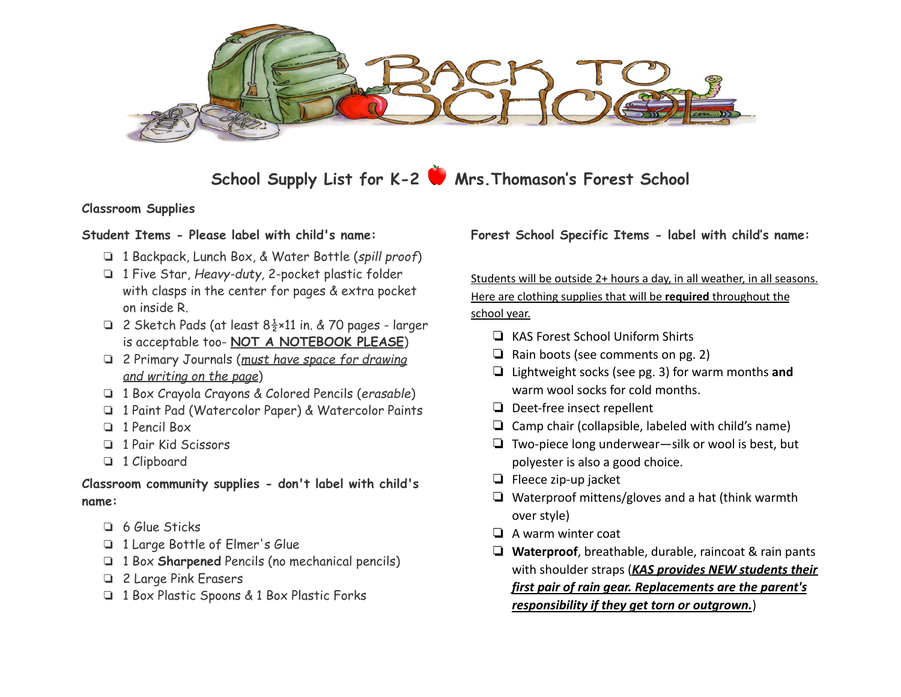

**School Supply List for K-2 Mrs.Thomason's Forest School**

**Classroom Supplies**

- ❏ 1 Backpack, Lunch Box, & Water Bottle (*spill proof*)
- ❏ 1 Five Star, *Heavy-duty,* 2-pocket plastic folder with clasps in the center for pages & extra pocket on inside R.
- ❏ 2 Sketch Pads (at least 8½×11 in. & 70 pages larger is acceptable too- **NOT A NOTEBOOK PLEASE**)
- ❏ 2 Primary Journals (*must have space for drawing and writing on the page*)
- ❏ 1 Box Crayola Crayons & Colored Pencils (*erasable*)
- ❏ 1 Paint Pad (Watercolor Paper) & Watercolor Paints
- ❏ 1 Pencil Box
- ❏ 1 Pair Kid Scissors
- ❏ 1 Clipboard

**Classroom community supplies - don't label with child's name:**

- ❏ 6 Glue Sticks
- ❏ 1 Large Bottle of Elmer's Glue
- ❏ 1 Box **Sharpened** Pencils (no mechanical pencils)
- ❏ 2 Large Pink Erasers
- ❏ 1 Box Plastic Spoons & 1 Box Plastic Forks

**Student Items - Please label with child's name: Forest School Specific Items - label with child's name:**

Students will be outside 2+ hours a day, in all weather, in all seasons. Here are clothing supplies that will be **required** throughout the school year.

- ❏ KAS Forest School Uniform Shirts
- ❏ Rain boots (see comments on pg. 2)
- ❏ Lightweight socks (see pg. 3) for warm months **and** warm wool socks for cold months.
- ❏ Deet-free insect repellent
- ❏ Camp chair (collapsible, labeled with child's name)
- ❏ Two-piece long underwear—silk or wool is best, but polyester is also a good choice.
- ❏ Fleece zip-up jacket
- ❏ Waterproof mittens/gloves and a hat (think warmth over style)
- ❏ A warm winter coat
- ❏ **Waterproof**, breathable, durable, raincoat & rain pants with shoulder straps (*KAS provides NEW students their first pair of rain gear. Replacements are the parent's responsibility if they get torn or outgrown.*)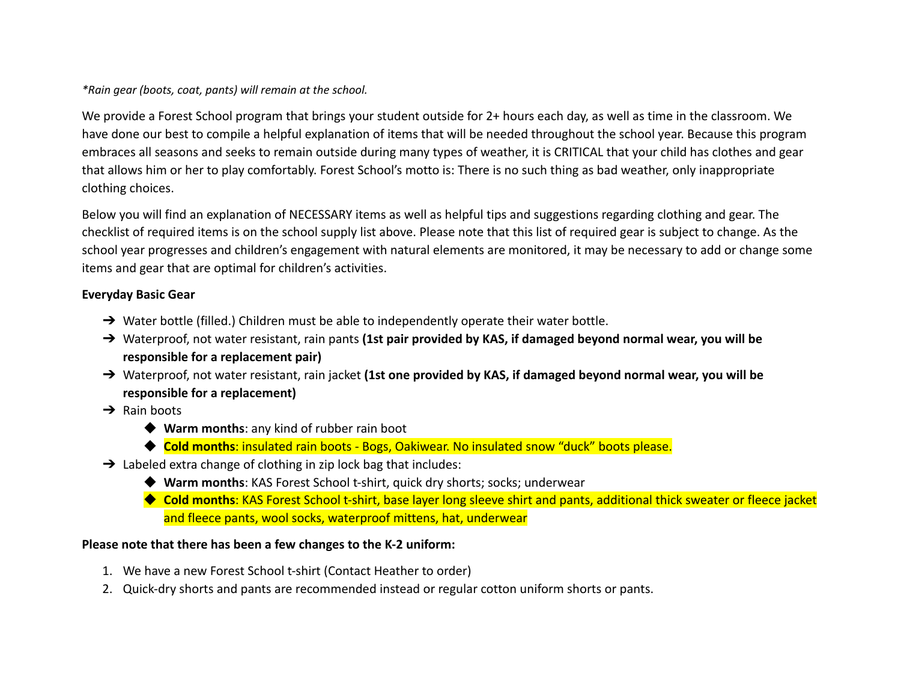#### *\*Rain gear (boots, coat, pants) will remain at the school.*

We provide a Forest School program that brings your student outside for 2+ hours each day, as well as time in the classroom. We have done our best to compile a helpful explanation of items that will be needed throughout the school year. Because this program embraces all seasons and seeks to remain outside during many types of weather, it is CRITICAL that your child has clothes and gear that allows him or her to play comfortably. Forest School's motto is: There is no such thing as bad weather, only inappropriate clothing choices.

Below you will find an explanation of NECESSARY items as well as helpful tips and suggestions regarding clothing and gear. The checklist of required items is on the school supply list above. Please note that this list of required gear is subject to change. As the school year progresses and children's engagement with natural elements are monitored, it may be necessary to add or change some items and gear that are optimal for children's activities.

## **Everyday Basic Gear**

- → Water bottle (filled.) Children must be able to independently operate their water bottle.
- ➔ Waterproof, not water resistant, rain pants **(1st pair provided by KAS, if damaged beyond normal wear, you will be responsible for a replacement pair)**
- ➔ Waterproof, not water resistant, rain jacket **(1st one provided by KAS, if damaged beyond normal wear, you will be responsible for a replacement)**
- $\rightarrow$  Rain boots
	- ◆ Warm months: any kind of rubber rain boot
	- ◆ Cold months: insulated rain boots Bogs, Oakiwear. No insulated snow "duck" boots please.
- $\rightarrow$  Labeled extra change of clothing in zip lock bag that includes:
	- ◆ Warm months: KAS Forest School t-shirt, quick dry shorts; socks; underwear
	- ◆ Cold months: KAS Forest School t-shirt, base layer long sleeve shirt and pants, additional thick sweater or fleece jacket and fleece pants, wool socks, waterproof mittens, hat, underwear

### **Please note that there has been a few changes to the K-2 uniform:**

- 1. We have a new Forest School t-shirt (Contact Heather to order)
- 2. Quick-dry shorts and pants are recommended instead or regular cotton uniform shorts or pants.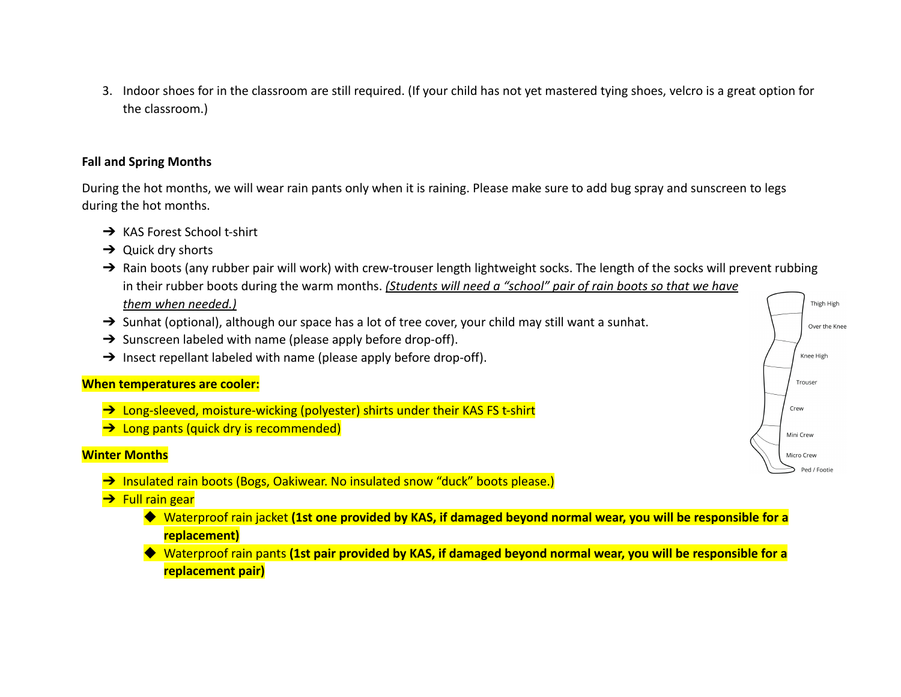3. Indoor shoes for in the classroom are still required. (If your child has not yet mastered tying shoes, velcro is a great option for the classroom.)

### **Fall and Spring Months**

During the hot months, we will wear rain pants only when it is raining. Please make sure to add bug spray and sunscreen to legs during the hot months.

- → KAS Forest School t-shirt
- $\rightarrow$  Quick dry shorts
- $\rightarrow$  Rain boots (any rubber pair will work) with crew-trouser length lightweight socks. The length of the socks will prevent rubbing in their rubber boots during the warm months. *(Students will need a "school" pair of rain boots so that we have them when needed.)*
- → Sunhat (optional), although our space has a lot of tree cover, your child may still want a sunhat.
- $\rightarrow$  Sunscreen labeled with name (please apply before drop-off).
- $\rightarrow$  Insect repellant labeled with name (please apply before drop-off).

### **When temperatures are cooler:**

- → Long-sleeved, moisture-wicking (polyester) shirts under their KAS FS t-shirt
- **→** Long pants (quick dry is recommended)

### **Winter Months**

→ Insulated rain boots (Bogs, Oakiwear. No insulated snow "duck" boots please.)

### **→** Full rain gear

- ◆ Waterproof rain jacket **(1st one provided by KAS, if damaged beyond normal wear, you will be responsible for a replacement)**
- ◆ Waterproof rain pants **(1st pair provided by KAS, if damaged beyond normal wear, you will be responsible for a replacement pair)**

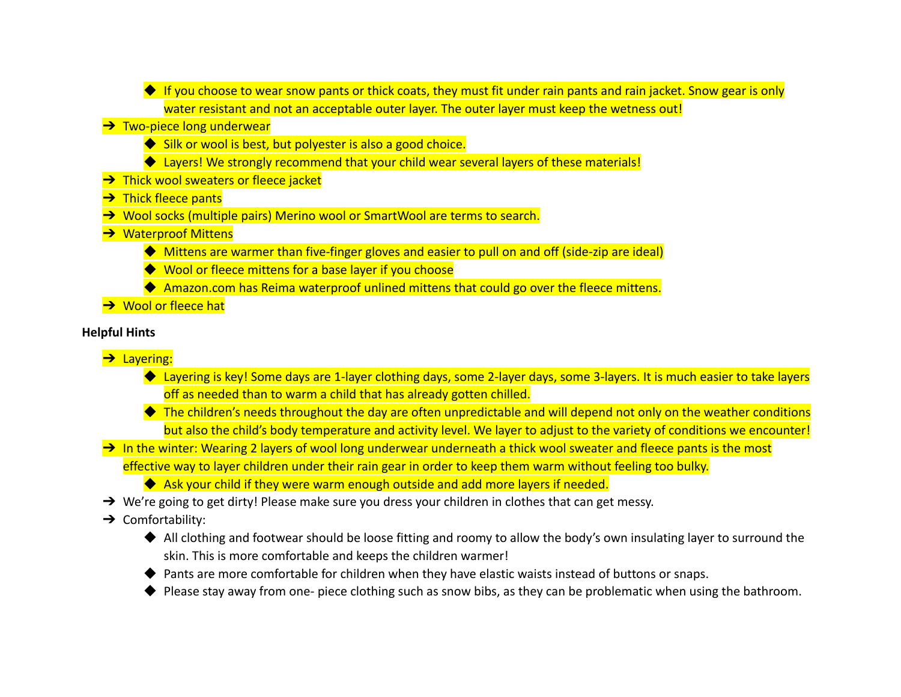- ◆ If you choose to wear snow pants or thick coats, they must fit under rain pants and rain jacket. Snow gear is only water resistant and not an acceptable outer layer. The outer layer must keep the wetness out! **→ Two-piece long underwear** ◆ Silk or wool is best, but polyester is also a good choice. ◆ Layers! We strongly recommend that your child wear several layers of these materials!
- **→** Thick wool sweaters or fleece jacket
- **→ Thick fleece pants**
- → Wool socks (multiple pairs) Merino wool or SmartWool are terms to search.
- **→** Waterproof Mittens
	- ◆ Mittens are warmer than five-finger gloves and easier to pull on and off (side-zip are ideal)
	- ◆ Wool or fleece mittens for a base layer if you choose
	- ◆ Amazon.com has Reima waterproof unlined mittens that could go over the fleece mittens.
- **→** Wool or fleece hat

# **Helpful Hints**

- **→** Layering:
	- ◆ Layering is key! Some days are 1-layer clothing days, some 2-layer days, some 3-layers. It is much easier to take layers off as needed than to warm a child that has already gotten chilled.
	- $\blacklozenge$  The children's needs throughout the day are often unpredictable and will depend not only on the weather conditions but also the child's body temperature and activity level. We layer to adjust to the variety of conditions we encounter!
- $\rightarrow$  In the winter: Wearing 2 layers of wool long underwear underneath a thick wool sweater and fleece pants is the most effective way to layer children under their rain gear in order to keep them warm without feeling too bulky.
	- ◆ Ask your child if they were warm enough outside and add more layers if needed.
- → We're going to get dirty! Please make sure you dress your children in clothes that can get messy.
- → Comfortability:
	- ◆ All clothing and footwear should be loose fitting and roomy to allow the body's own insulating layer to surround the skin. This is more comfortable and keeps the children warmer!
	- ◆ Pants are more comfortable for children when they have elastic waists instead of buttons or snaps.
	- ◆ Please stay away from one- piece clothing such as snow bibs, as they can be problematic when using the bathroom.